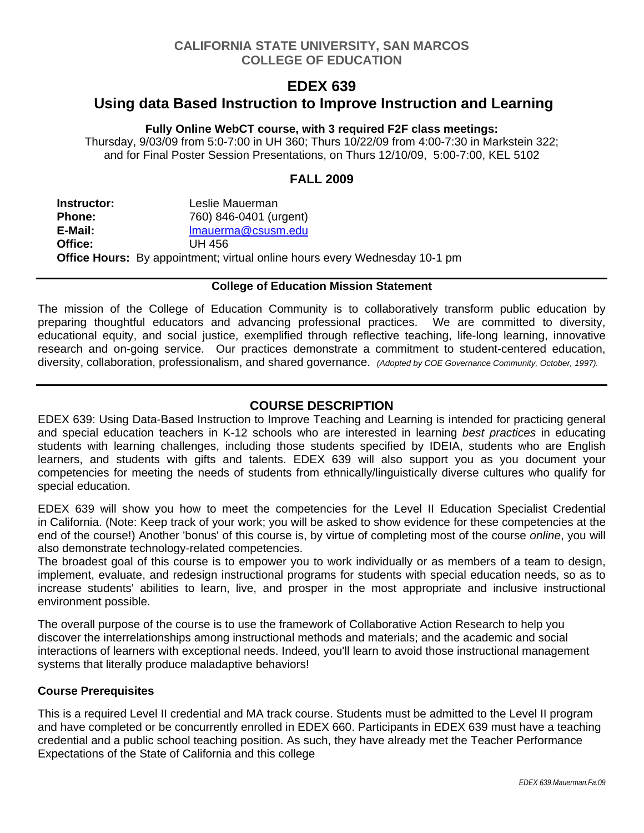# **CALIFORNIA STATE UNIVERSITY, SAN MARCOS COLLEGE OF EDUCATION**

# **EDEX 639**

# **Using data Based Instruction to Improve Instruction and Learning**

#### **Fully Online WebCT course, with 3 required F2F class meetings:**

Thursday, 9/03/09 from 5:0-7:00 in UH 360; Thurs 10/22/09 from 4:00-7:30 in Markstein 322; and for Final Poster Session Presentations, on Thurs 12/10/09, 5:00-7:00, KEL 5102

# **FALL 2009**

| Instructor:   | Leslie Mauerman                                                                   |
|---------------|-----------------------------------------------------------------------------------|
| <b>Phone:</b> | 760) 846-0401 (urgent)                                                            |
| E-Mail:       | Imauerma@csusm.edu                                                                |
| Office:       | UH 456                                                                            |
|               | <b>Office Hours:</b> By appointment; virtual online hours every Wednesday 10-1 pm |

### **College of Education Mission Statement**

The mission of the College of Education Community is to collaboratively transform public education by preparing thoughtful educators and advancing professional practices. We are committed to diversity, educational equity, and social justice, exemplified through reflective teaching, life-long learning, innovative research and on-going service. Our practices demonstrate a commitment to student-centered education, diversity, collaboration, professionalism, and shared governance. *(Adopted by COE Governance Community, October, 1997).* 

# **COURSE DESCRIPTION**

EDEX 639: Using Data-Based Instruction to Improve Teaching and Learning is intended for practicing general and special education teachers in K-12 schools who are interested in learning *best practices* in educating students with learning challenges, including those students specified by IDEIA, students who are English learners, and students with gifts and talents. EDEX 639 will also support you as you document your competencies for meeting the needs of students from ethnically/linguistically diverse cultures who qualify for special education.

EDEX 639 will show you how to meet the competencies for the Level II Education Specialist Credential in California. (Note: Keep track of your work; you will be asked to show evidence for these competencies at the end of the course!) Another 'bonus' of this course is, by virtue of completing most of the course *online*, you will also demonstrate technology-related competencies.

The broadest goal of this course is to empower you to work individually or as members of a team to design, implement, evaluate, and redesign instructional programs for students with special education needs, so as to increase students' abilities to learn, live, and prosper in the most appropriate and inclusive instructional environment possible.

The overall purpose of the course is to use the framework of Collaborative Action Research to help you discover the interrelationships among instructional methods and materials; and the academic and social interactions of learners with exceptional needs. Indeed, you'll learn to avoid those instructional management systems that literally produce maladaptive behaviors!

### **Course Prerequisites**

This is a required Level II credential and MA track course. Students must be admitted to the Level II program and have completed or be concurrently enrolled in EDEX 660. Participants in EDEX 639 must have a teaching credential and a public school teaching position. As such, they have already met the Teacher Performance Expectations of the State of California and this college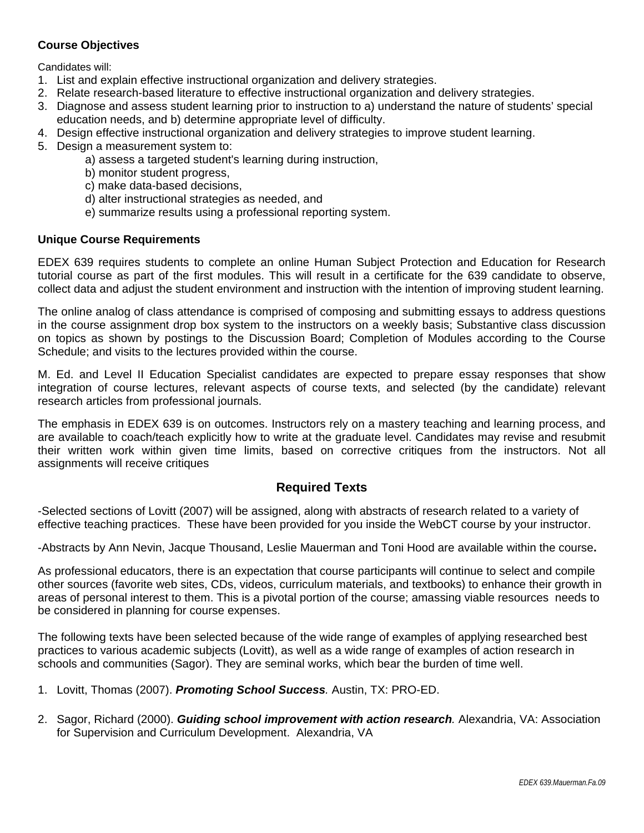### **Course Objectives**

Candidates will:

- 1. List and explain effective instructional organization and delivery strategies.
- 2. Relate research-based literature to effective instructional organization and delivery strategies.
- 3. Diagnose and assess student learning prior to instruction to a) understand the nature of students' special education needs, and b) determine appropriate level of difficulty.
- 4. Design effective instructional organization and delivery strategies to improve student learning.
- 5. Design a measurement system to:
	- a) assess a targeted student's learning during instruction,
	- b) monitor student progress,
	- c) make data-based decisions,
	- d) alter instructional strategies as needed, and
	- e) summarize results using a professional reporting system.

#### **Unique Course Requirements**

EDEX 639 requires students to complete an online Human Subject Protection and Education for Research tutorial course as part of the first modules. This will result in a certificate for the 639 candidate to observe, collect data and adjust the student environment and instruction with the intention of improving student learning.

The online analog of class attendance is comprised of composing and submitting essays to address questions in the course assignment drop box system to the instructors on a weekly basis; Substantive class discussion on topics as shown by postings to the Discussion Board; Completion of Modules according to the Course Schedule; and visits to the lectures provided within the course.

M. Ed. and Level II Education Specialist candidates are expected to prepare essay responses that show integration of course lectures, relevant aspects of course texts, and selected (by the candidate) relevant research articles from professional journals.

The emphasis in EDEX 639 is on outcomes. Instructors rely on a mastery teaching and learning process, and are available to coach/teach explicitly how to write at the graduate level. Candidates may revise and resubmit their written work within given time limits, based on corrective critiques from the instructors. Not all assignments will receive critiques

### **Required Texts**

-Selected sections of Lovitt (2007) will be assigned, along with abstracts of research related to a variety of effective teaching practices. These have been provided for you inside the WebCT course by your instructor.

-Abstracts by Ann Nevin, Jacque Thousand, Leslie Mauerman and Toni Hood are available within the course**.** 

As professional educators, there is an expectation that course participants will continue to select and compile other sources (favorite web sites, CDs, videos, curriculum materials, and textbooks) to enhance their growth in areas of personal interest to them. This is a pivotal portion of the course; amassing viable resources needs to be considered in planning for course expenses.

The following texts have been selected because of the wide range of examples of applying researched best practices to various academic subjects (Lovitt), as well as a wide range of examples of action research in schools and communities (Sagor). They are seminal works, which bear the burden of time well.

- 1. Lovitt, Thomas (2007). *Promoting School Success.* Austin, TX: PRO-ED.
- 2. Sagor, Richard (2000). *Guiding school improvement with action research.* Alexandria, VA: Association for Supervision and Curriculum Development. Alexandria, VA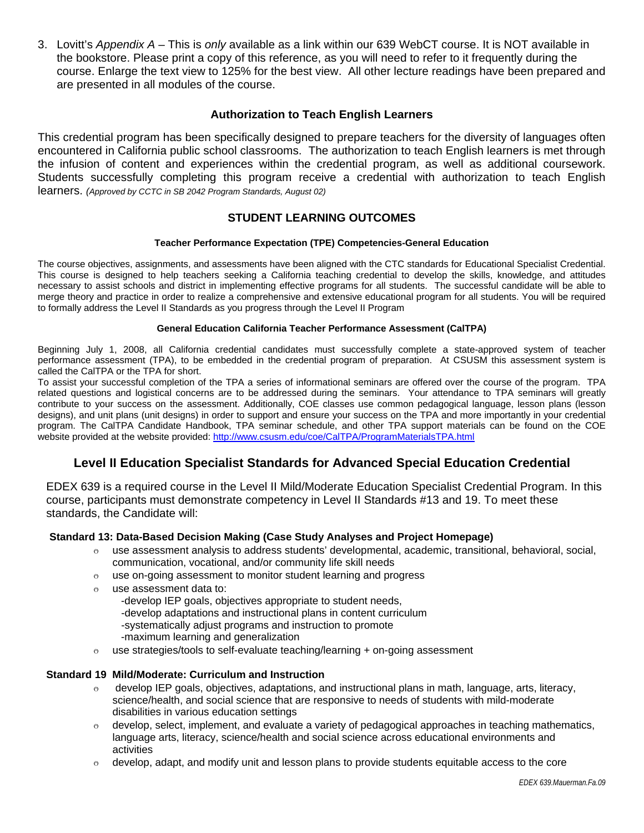3. Lovitt's *Appendix A* – This is *only* available as a link within our 639 WebCT course. It is NOT available in the bookstore. Please print a copy of this reference, as you will need to refer to it frequently during the course. Enlarge the text view to 125% for the best view. All other lecture readings have been prepared and are presented in all modules of the course.

#### **Authorization to Teach English Learners**

This credential program has been specifically designed to prepare teachers for the diversity of languages often encountered in California public school classrooms. The authorization to teach English learners is met through the infusion of content and experiences within the credential program, as well as additional coursework. Students successfully completing this program receive a credential with authorization to teach English learners. *(Approved by CCTC in SB 2042 Program Standards, August 02)* 

### **STUDENT LEARNING OUTCOMES**

#### **Teacher Performance Expectation (TPE) Competencies-General Education**

The course objectives, assignments, and assessments have been aligned with the CTC standards for Educational Specialist Credential. This course is designed to help teachers seeking a California teaching credential to develop the skills, knowledge, and attitudes necessary to assist schools and district in implementing effective programs for all students. The successful candidate will be able to merge theory and practice in order to realize a comprehensive and extensive educational program for all students. You will be required to formally address the Level II Standards as you progress through the Level II Program

#### **General Education California Teacher Performance Assessment (CalTPA)**

Beginning July 1, 2008, all California credential candidates must successfully complete a state-approved system of teacher performance assessment (TPA), to be embedded in the credential program of preparation. At CSUSM this assessment system is called the CalTPA or the TPA for short.

website provided at the website provided: http://www.csusm.edu/coe/CalTPA/ProgramMaterialsTPA.html To assist your successful completion of the TPA a series of informational seminars are offered over the course of the program. TPA related questions and logistical concerns are to be addressed during the seminars. Your attendance to TPA seminars will greatly contribute to your success on the assessment. Additionally, COE classes use common pedagogical language, lesson plans (lesson designs), and unit plans (unit designs) in order to support and ensure your success on the TPA and more importantly in your credential program. The CalTPA Candidate Handbook, TPA seminar schedule, and other TPA support materials can be found on the COE

### **Level II Education Specialist Standards for Advanced Special Education Credential**

EDEX 639 is a required course in the Level II Mild/Moderate Education Specialist Credential Program. In this course, participants must demonstrate competency in Level II Standards #13 and 19. To meet these standards, the Candidate will:

#### **Standard 13: Data-Based Decision Making (Case Study Analyses and Project Homepage)**

- $\circ$  use assessment analysis to address students' developmental, academic, transitional, behavioral, social, communication, vocational, and/or community life skill needs
- $\degree$  use on-going assessment to monitor student learning and progress
- o use assessment data to:
	- -develop IEP goals, objectives appropriate to student needs, -develop adaptations and instructional plans in content curriculum
	- -systematically adjust programs and instruction to promote
	- -maximum learning and generalization
- $\circ$  use strategies/tools to self-evaluate teaching/learning + on-going assessment

#### **Standard 19 Mild/Moderate: Curriculum and Instruction**

- $\circ$  develop IEP goals, objectives, adaptations, and instructional plans in math, language, arts, literacy, science/health, and social science that are responsive to needs of students with mild-moderate disabilities in various education settings
- $\circ$  develop, select, implement, and evaluate a variety of pedagogical approaches in teaching mathematics, language arts, literacy, science/health and social science across educational environments and activities
- $\circ$  develop, adapt, and modify unit and lesson plans to provide students equitable access to the core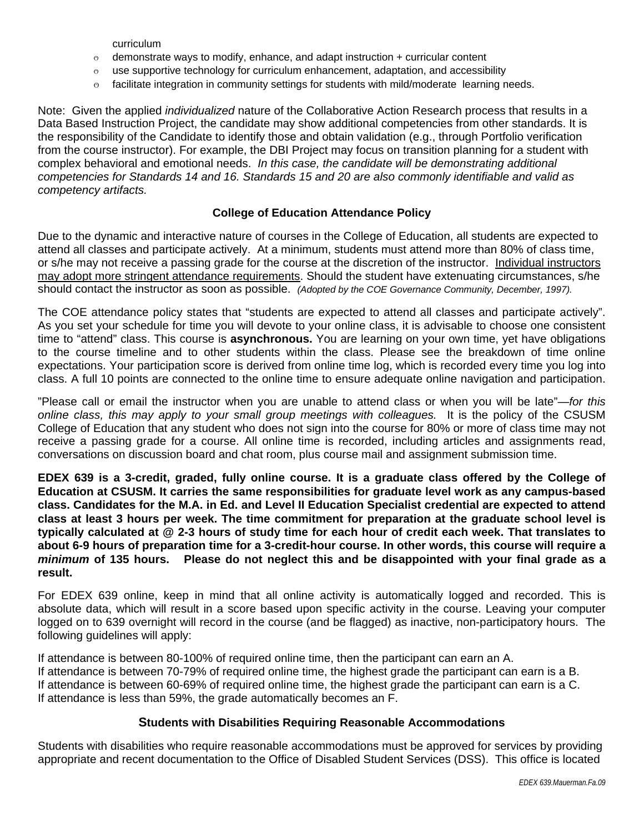curriculum

- $\circ$  demonstrate ways to modify, enhance, and adapt instruction + curricular content
- $\circ$  use supportive technology for curriculum enhancement, adaptation, and accessibility
- $\circ$  facilitate integration in community settings for students with mild/moderate learning needs.

Note: Given the applied *individualized* nature of the Collaborative Action Research process that results in a Data Based Instruction Project, the candidate may show additional competencies from other standards. It is the responsibility of the Candidate to identify those and obtain validation (e.g., through Portfolio verification from the course instructor). For example, the DBI Project may focus on transition planning for a student with complex behavioral and emotional needs. *In this case, the candidate will be demonstrating additional competencies for Standards 14 and 16. Standards 15 and 20 are also commonly identifiable and valid as competency artifacts.* 

#### **College of Education Attendance Policy**

 should contact the instructor as soon as possible. *(Adopted by the COE Governance Community, December, 1997).* Due to the dynamic and interactive nature of courses in the College of Education, all students are expected to attend all classes and participate actively. At a minimum, students must attend more than 80% of class time, or s/he may not receive a passing grade for the course at the discretion of the instructor. Individual instructors may adopt more stringent attendance requirements. Should the student have extenuating circumstances, s/he

The COE attendance policy states that "students are expected to attend all classes and participate actively". As you set your schedule for time you will devote to your online class, it is advisable to choose one consistent time to "attend" class. This course is **asynchronous.** You are learning on your own time, yet have obligations to the course timeline and to other students within the class. Please see the breakdown of time online expectations. Your participation score is derived from online time log, which is recorded every time you log into class. A full 10 points are connected to the online time to ensure adequate online navigation and participation.

"Please call or email the instructor when you are unable to attend class or when you will be late"—*for this online class, this may apply to your small group meetings with colleagues.* It is the policy of the CSUSM College of Education that any student who does not sign into the course for 80% or more of class time may not receive a passing grade for a course. All online time is recorded, including articles and assignments read, conversations on discussion board and chat room, plus course mail and assignment submission time.

**EDEX 639 is a 3-credit, graded, fully online course. It is a graduate class offered by the College of Education at CSUSM. It carries the same responsibilities for graduate level work as any campus-based class. Candidates for the M.A. in Ed. and Level II Education Specialist credential are expected to attend class at least 3 hours per week. The time commitment for preparation at the graduate school level is typically calculated at @ 2-3 hours of study time for each hour of credit each week. That translates to about 6-9 hours of preparation time for a 3-credit-hour course. In other words, this course will require a**  *minimum* **of 135 hours. Please do not neglect this and be disappointed with your final grade as a result.** 

For EDEX 639 online, keep in mind that all online activity is automatically logged and recorded. This is absolute data, which will result in a score based upon specific activity in the course. Leaving your computer logged on to 639 overnight will record in the course (and be flagged) as inactive, non-participatory hours. The following guidelines will apply:

If attendance is between 80-100% of required online time, then the participant can earn an A. If attendance is between 70-79% of required online time, the highest grade the participant can earn is a B. If attendance is between 60-69% of required online time, the highest grade the participant can earn is a C. If attendance is less than 59%, the grade automatically becomes an F.

#### **Students with Disabilities Requiring Reasonable Accommodations**

Students with disabilities who require reasonable accommodations must be approved for services by providing appropriate and recent documentation to the Office of Disabled Student Services (DSS). This office is located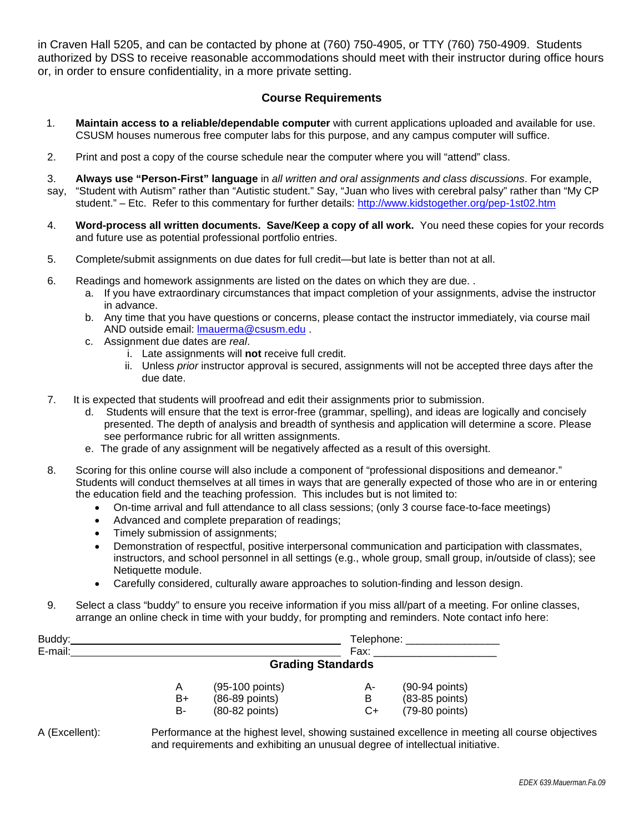in Craven Hall 5205, and can be contacted by phone at (760) 750-4905, or TTY (760) 750-4909. Students authorized by DSS to receive reasonable accommodations should meet with their instructor during office hours or, in order to ensure confidentiality, in a more private setting.

### **Course Requirements**

- 1. **Maintain access to a reliable/dependable computer** with current applications uploaded and available for use. CSUSM houses numerous free computer labs for this purpose, and any campus computer will suffice.
- 2. Print and post a copy of the course schedule near the computer where you will "attend" class.
- student." Etc. Refer to this commentary for further details: http://www.kidstogether.org/pep-1st02.htm 3. **Always use "Person-First" language** in *all written and oral assignments and class discussions*. For example, say, "Student with Autism" rather than "Autistic student." Say, "Juan who lives with cerebral palsy" rather than "My CP
- 4. Word-process all written documents. Save/Keep a copy of all work. You need these copies for your records and future use as potential professional portfolio entries.
- 5. Complete/submit assignments on due dates for full credit—but late is better than not at all.
- 6. Readings and homework assignments are listed on the dates on which they are due. .
	- a. If you have extraordinary circumstances that impact completion of your assignments, advise the instructor in advance.
	- b. Any time that you have questions or concerns, please contact the instructor immediately, via course mail AND outside email: lmauerma@csusm.edu .
	- c. Assignment due dates are *real*.
		- i. Late assignments will **not** receive full credit.
		- ii. Unless *prior* instructor approval is secured, assignments will not be accepted three days after the due date.
- 7. It is expected that students will proofread and edit their assignments prior to submission.
	- d. Students will ensure that the text is error-free (grammar, spelling), and ideas are logically and concisely presented. The depth of analysis and breadth of synthesis and application will determine a score. Please see performance rubric for all written assignments.
	- e. The grade of any assignment will be negatively affected as a result of this oversight.
- 8. Scoring for this online course will also include a component of "professional dispositions and demeanor." Students will conduct themselves at all times in ways that are generally expected of those who are in or entering the education field and the teaching profession. This includes but is not limited to:
	- On-time arrival and full attendance to all class sessions; (only 3 course face-to-face meetings)
	- Advanced and complete preparation of readings;
	- Timely submission of assignments;
	- Demonstration of respectful, positive interpersonal communication and participation with classmates, instructors, and school personnel in all settings (e.g., whole group, small group, in/outside of class); see Netiquette module.
	- Carefully considered, culturally aware approaches to solution-finding and lesson design.
- 9. Select a class "buddy" to ensure you receive information if you miss all/part of a meeting. For online classes, arrange an online check in time with your buddy, for prompting and reminders. Note contact info here:

| Buddy:  |                          |                  |      | Telephone:       |  |
|---------|--------------------------|------------------|------|------------------|--|
| E-mail: |                          |                  | Fax: |                  |  |
|         | <b>Grading Standards</b> |                  |      |                  |  |
|         | Α                        | (95-100 points)  | A-   | $(90-94$ points) |  |
|         | B+                       | $(86-89$ points) | B    | (83-85 points)   |  |
|         | B-                       | (80-82 points)   | C+   | (79-80 points)   |  |

A (Excellent): Performance at the highest level, showing sustained excellence in meeting all course objectives and requirements and exhibiting an unusual degree of intellectual initiative.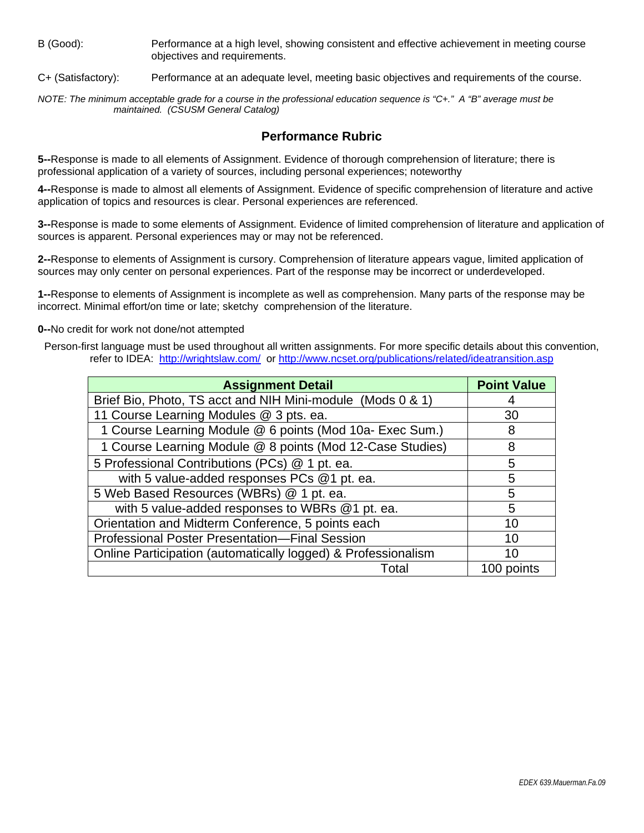B (Good): Performance at a high level, showing consistent and effective achievement in meeting course objectives and requirements.

C+ (Satisfactory): Performance at an adequate level, meeting basic objectives and requirements of the course.

*NOTE: The minimum acceptable grade for a course in the professional education sequence is "C+." A "B" average must be maintained. (CSUSM General Catalog)* 

### **Performance Rubric**

**5--**Response is made to all elements of Assignment. Evidence of thorough comprehension of literature; there is professional application of a variety of sources, including personal experiences; noteworthy

**4--**Response is made to almost all elements of Assignment. Evidence of specific comprehension of literature and active application of topics and resources is clear. Personal experiences are referenced.

**3--**Response is made to some elements of Assignment. Evidence of limited comprehension of literature and application of sources is apparent. Personal experiences may or may not be referenced.

**2--**Response to elements of Assignment is cursory. Comprehension of literature appears vague, limited application of sources may only center on personal experiences. Part of the response may be incorrect or underdeveloped.

**1--**Response to elements of Assignment is incomplete as well as comprehension. Many parts of the response may be incorrect. Minimal effort/on time or late; sketchy comprehension of the literature.

**0--**No credit for work not done/not attempted

refer to IDEA: http://wrightslaw.com/ or http://www.ncset.org/publications/related/ideatransition.asp Person-first language must be used throughout all written assignments. For more specific details about this convention,

| <b>Assignment Detail</b>                                      | <b>Point Value</b> |
|---------------------------------------------------------------|--------------------|
| Brief Bio, Photo, TS acct and NIH Mini-module (Mods 0 & 1)    |                    |
| 11 Course Learning Modules @ 3 pts. ea.                       | 30                 |
| 1 Course Learning Module @ 6 points (Mod 10a- Exec Sum.)      | 8                  |
| 1 Course Learning Module @ 8 points (Mod 12-Case Studies)     | 8                  |
| 5 Professional Contributions (PCs) @ 1 pt. ea.                | 5                  |
| with 5 value-added responses PCs @1 pt. ea.                   | 5                  |
| 5 Web Based Resources (WBRs) @ 1 pt. ea.                      | 5                  |
| with 5 value-added responses to WBRs @1 pt. ea.               | 5                  |
| Orientation and Midterm Conference, 5 points each             | 10                 |
| <b>Professional Poster Presentation-Final Session</b>         | 10                 |
| Online Participation (automatically logged) & Professionalism | 10                 |
| Total                                                         | 100 points         |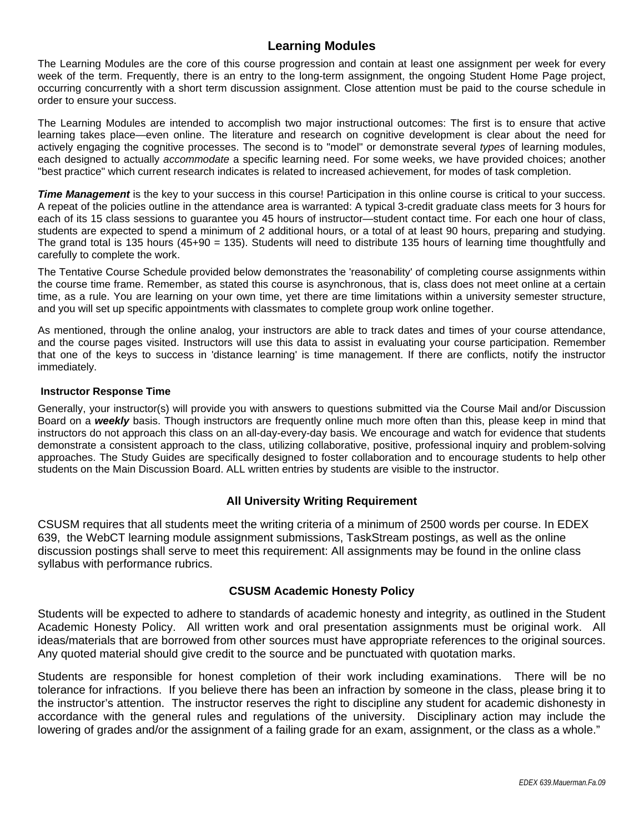# **Learning Modules**

The Learning Modules are the core of this course progression and contain at least one assignment per week for every week of the term. Frequently, there is an entry to the long-term assignment, the ongoing Student Home Page project, occurring concurrently with a short term discussion assignment. Close attention must be paid to the course schedule in order to ensure your success.

The Learning Modules are intended to accomplish two major instructional outcomes: The first is to ensure that active learning takes place—even online. The literature and research on cognitive development is clear about the need for actively engaging the cognitive processes. The second is to "model" or demonstrate several *types* of learning modules, each designed to actually *accommodate* a specific learning need. For some weeks, we have provided choices; another "best practice" which current research indicates is related to increased achievement, for modes of task completion.

*Time Management* is the key to your success in this course! Participation in this online course is critical to your success. A repeat of the policies outline in the attendance area is warranted: A typical 3-credit graduate class meets for 3 hours for each of its 15 class sessions to guarantee you 45 hours of instructor—student contact time. For each one hour of class, students are expected to spend a minimum of 2 additional hours, or a total of at least 90 hours, preparing and studying. The grand total is 135 hours (45+90 = 135). Students will need to distribute 135 hours of learning time thoughtfully and carefully to complete the work.

The Tentative Course Schedule provided below demonstrates the 'reasonability' of completing course assignments within the course time frame. Remember, as stated this course is asynchronous, that is, class does not meet online at a certain time, as a rule. You are learning on your own time, yet there are time limitations within a university semester structure, and you will set up specific appointments with classmates to complete group work online together.

As mentioned, through the online analog, your instructors are able to track dates and times of your course attendance, and the course pages visited. Instructors will use this data to assist in evaluating your course participation. Remember that one of the keys to success in 'distance learning' is time management. If there are conflicts, notify the instructor immediately.

#### **Instructor Response Time**

Generally, your instructor(s) will provide you with answers to questions submitted via the Course Mail and/or Discussion Board on a *weekly* basis. Though instructors are frequently online much more often than this, please keep in mind that instructors do not approach this class on an all-day-every-day basis. We encourage and watch for evidence that students demonstrate a consistent approach to the class, utilizing collaborative, positive, professional inquiry and problem-solving approaches. The Study Guides are specifically designed to foster collaboration and to encourage students to help other students on the Main Discussion Board. ALL written entries by students are visible to the instructor.

### **All University Writing Requirement**

CSUSM requires that all students meet the writing criteria of a minimum of 2500 words per course. In EDEX 639, the WebCT learning module assignment submissions, TaskStream postings, as well as the online discussion postings shall serve to meet this requirement: All assignments may be found in the online class syllabus with performance rubrics.

#### **CSUSM Academic Honesty Policy**

Students will be expected to adhere to standards of academic honesty and integrity, as outlined in the Student Academic Honesty Policy. All written work and oral presentation assignments must be original work. All ideas/materials that are borrowed from other sources must have appropriate references to the original sources. Any quoted material should give credit to the source and be punctuated with quotation marks.

Students are responsible for honest completion of their work including examinations. There will be no tolerance for infractions. If you believe there has been an infraction by someone in the class, please bring it to the instructor's attention. The instructor reserves the right to discipline any student for academic dishonesty in accordance with the general rules and regulations of the university. Disciplinary action may include the lowering of grades and/or the assignment of a failing grade for an exam, assignment, or the class as a whole."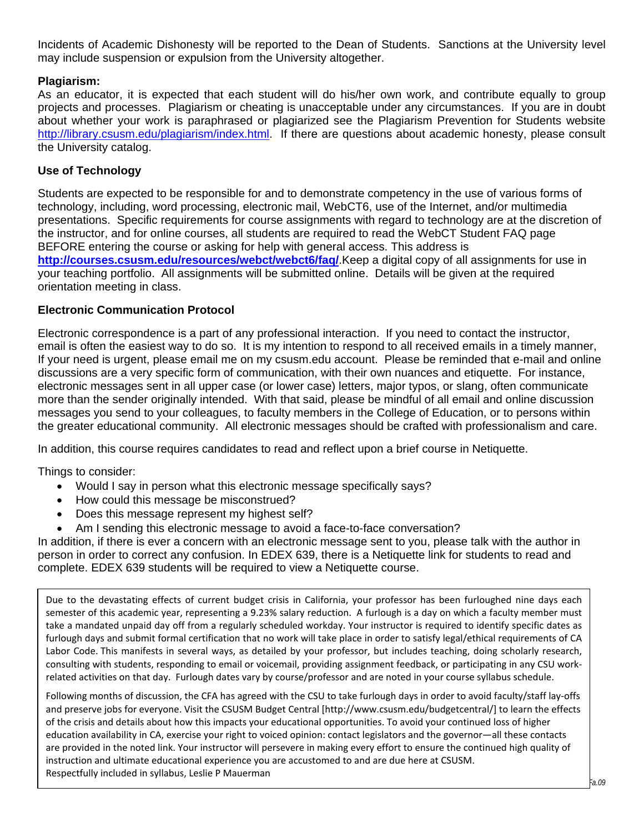Incidents of Academic Dishonesty will be reported to the Dean of Students. Sanctions at the University level may include suspension or expulsion from the University altogether.

# **Plagiarism:**

As an educator, it is expected that each student will do his/her own work, and contribute equally to group projects and processes. Plagiarism or cheating is unacceptable under any circumstances. If you are in doubt about whether your work is paraphrased or plagiarized see the Plagiarism Prevention for Students website http://library.csusm.edu/plagiarism/index.html. If there are questions about academic honesty, please consult the University catalog.

# **Use of Technology**

Students are expected to be responsible for and to demonstrate competency in the use of various forms of technology, including, word processing, electronic mail, WebCT6, use of the Internet, and/or multimedia presentations. Specific requirements for course assignments with regard to technology are at the discretion of the instructor, and for online courses, all students are required to read the WebCT Student FAQ page BEFORE entering the course or asking for help with general access. This address is **http://courses.csusm.edu/resources/webct/webct6/faq/**.Keep a digital copy of all assignments for use in your teaching portfolio. All assignments will be submitted online. Details will be given at the required orientation meeting in class.

# **Electronic Communication Protocol**

Electronic correspondence is a part of any professional interaction. If you need to contact the instructor, email is often the easiest way to do so. It is my intention to respond to all received emails in a timely manner, If your need is urgent, please email me on my csusm.edu account. Please be reminded that e-mail and online discussions are a very specific form of communication, with their own nuances and etiquette. For instance, electronic messages sent in all upper case (or lower case) letters, major typos, or slang, often communicate more than the sender originally intended. With that said, please be mindful of all email and online discussion messages you send to your colleagues, to faculty members in the College of Education, or to persons within the greater educational community. All electronic messages should be crafted with professionalism and care.

In addition, this course requires candidates to read and reflect upon a brief course in Netiquette.

Things to consider:

- Would I say in person what this electronic message specifically says?
- How could this message be misconstrued?
- Does this message represent my highest self?
- Am I sending this electronic message to avoid a face-to-face conversation?

In addition, if there is ever a concern with an electronic message sent to you, please talk with the author in person in order to correct any confusion. In EDEX 639, there is a Netiquette link for students to read and complete. EDEX 639 students will be required to view a Netiquette course.

 Due to the devastating effects of current budget crisis in California, your professor has been furloughed nine days each semester of this academic year, representing a 9.23% salary reduction. A furlough is a day on which a faculty member must take a mandated unpaid day off from a regularly scheduled workday. Your instructor is required to identify specific dates as furlough days and submit formal certification that no work will take place in order to satisfy legal/ethical requirements of CA Labor Code. This manifests in several ways, as detailed by your professor, but includes teaching, doing scholarly research, consulting with students, responding to email or voicemail, providing assignment feedback, or participating in any CSU work‐ related activities on that day. Furlough dates vary by course/professor and are noted in your course syllabus schedule.

 Following months of discussion, the CFA has agreed with the CSU to take furlough days in order to avoid faculty/staff lay‐offs and preserve jobs for everyone. Visit the CSUSM Budget Central [http://www.csusm.edu/budgetcentral/] to learn the effects of the crisis and details about how this impacts your educational opportunities. To avoid your continued loss of higher education availability in CA, exercise your right to voiced opinion: contact legislators and the governor—all these contacts are provided in the noted link. Your instructor will persevere in making every effort to ensure the continued high quality of instruction and ultimate educational experience you are accustomed to and are due here at CSUSM. Respectfully included in syllabus, Leslie P Mauerman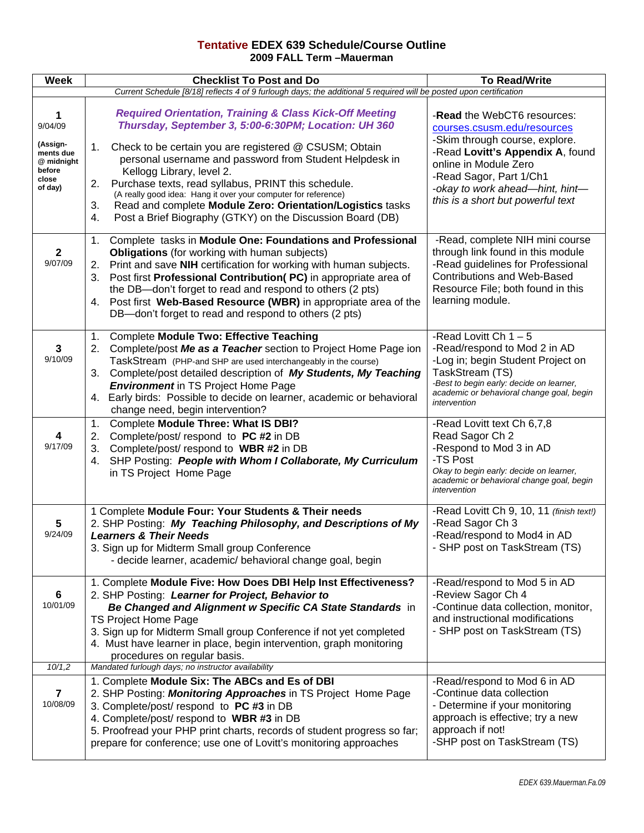### **Tentative EDEX 639 Schedule/Course Outline 2009 FALL Term –Mauerman**

| <b>Week</b>                                                                       | <b>Checklist To Post and Do</b>                                                                                                                                                                                                                                                                                                                                                                                                                                         | <b>To Read/Write</b>                                                                                                                                                                                                     |  |  |  |  |
|-----------------------------------------------------------------------------------|-------------------------------------------------------------------------------------------------------------------------------------------------------------------------------------------------------------------------------------------------------------------------------------------------------------------------------------------------------------------------------------------------------------------------------------------------------------------------|--------------------------------------------------------------------------------------------------------------------------------------------------------------------------------------------------------------------------|--|--|--|--|
|                                                                                   | Current Schedule [8/18] reflects 4 of 9 furlough days; the additional 5 required will be posted upon certification                                                                                                                                                                                                                                                                                                                                                      |                                                                                                                                                                                                                          |  |  |  |  |
| 1<br>9/04/09<br>(Assign-<br>ments due<br>@ midnight<br>before<br>close<br>of day) | <b>Required Orientation, Training &amp; Class Kick-Off Meeting</b><br>Thursday, September 3, 5:00-6:30PM; Location: UH 360<br>Check to be certain you are registered @ CSUSM; Obtain<br>1.<br>personal username and password from Student Helpdesk in                                                                                                                                                                                                                   | -Read the WebCT6 resources:<br>courses.csusm.edu/resources<br>-Skim through course, explore.<br>-Read Lovitt's Appendix A, found<br>online in Module Zero                                                                |  |  |  |  |
|                                                                                   | Kellogg Library, level 2.<br>Purchase texts, read syllabus, PRINT this schedule.<br>2.<br>(A really good idea: Hang it over your computer for reference)<br>Read and complete Module Zero: Orientation/Logistics tasks<br>3.<br>Post a Brief Biography (GTKY) on the Discussion Board (DB)<br>4.                                                                                                                                                                        | -Read Sagor, Part 1/Ch1<br>-okay to work ahead-hint, hint-<br>this is a short but powerful text                                                                                                                          |  |  |  |  |
| $\mathbf{2}$<br>9/07/09                                                           | Complete tasks in Module One: Foundations and Professional<br>1.<br><b>Obligations</b> (for working with human subjects)<br>Print and save NIH certification for working with human subjects.<br>2.<br>Post first Professional Contribution(PC) in appropriate area of<br>3.<br>the DB-don't forget to read and respond to others (2 pts)<br>4. Post first Web-Based Resource (WBR) in appropriate area of the<br>DB-don't forget to read and respond to others (2 pts) | -Read, complete NIH mini course<br>through link found in this module<br>-Read guidelines for Professional<br><b>Contributions and Web-Based</b><br>Resource File; both found in this<br>learning module.                 |  |  |  |  |
| 3<br>9/10/09                                                                      | <b>Complete Module Two: Effective Teaching</b><br>1.<br>Complete/post Me as a Teacher section to Project Home Page ion<br>2.<br>TaskStream (PHP-and SHP are used interchangeably in the course)<br>Complete/post detailed description of My Students, My Teaching<br>3.<br><b>Environment</b> in TS Project Home Page<br>Early birds: Possible to decide on learner, academic or behavioral<br>4.<br>change need, begin intervention?                                   | -Read Lovitt Ch $1 - 5$<br>-Read/respond to Mod 2 in AD<br>-Log in; begin Student Project on<br>TaskStream (TS)<br>-Best to begin early: decide on learner,<br>academic or behavioral change goal, begin<br>intervention |  |  |  |  |
| 4<br>9/17/09                                                                      | Complete Module Three: What IS DBI?<br>1.<br>Complete/post/respond to PC #2 in DB<br>2.<br>Complete/post/ respond to WBR #2 in DB<br>3.<br>SHP Posting: People with Whom I Collaborate, My Curriculum<br>4.<br>in TS Project Home Page                                                                                                                                                                                                                                  | -Read Lovitt text Ch 6,7,8<br>Read Sagor Ch 2<br>-Respond to Mod 3 in AD<br>-TS Post<br>Okay to begin early: decide on learner,<br>academic or behavioral change goal, begin<br>intervention                             |  |  |  |  |
| $\overline{\mathbf{5}}$<br>9/24/09                                                | 1 Complete Module Four: Your Students & Their needs<br>2. SHP Posting: My Teaching Philosophy, and Descriptions of My<br><b>Learners &amp; Their Needs</b><br>3. Sign up for Midterm Small group Conference<br>- decide learner, academic/ behavioral change goal, begin                                                                                                                                                                                                | -Read Lovitt Ch 9, 10, 11 (finish text!)<br>-Read Sagor Ch 3<br>-Read/respond to Mod4 in AD<br>- SHP post on TaskStream (TS)                                                                                             |  |  |  |  |
| 6<br>10/01/09                                                                     | 1. Complete Module Five: How Does DBI Help Inst Effectiveness?<br>2. SHP Posting: Learner for Project, Behavior to<br>Be Changed and Alignment w Specific CA State Standards in<br><b>TS Project Home Page</b><br>3. Sign up for Midterm Small group Conference if not yet completed<br>4. Must have learner in place, begin intervention, graph monitoring<br>procedures on regular basis.                                                                             | -Read/respond to Mod 5 in AD<br>-Review Sagor Ch 4<br>-Continue data collection, monitor,<br>and instructional modifications<br>- SHP post on TaskStream (TS)                                                            |  |  |  |  |
| 10/1,2<br>$\overline{7}$<br>10/08/09                                              | Mandated furlough days; no instructor availability<br>1. Complete Module Six: The ABCs and Es of DBI<br>2. SHP Posting: Monitoring Approaches in TS Project Home Page<br>3. Complete/post/ respond to PC #3 in DB<br>4. Complete/post/ respond to WBR #3 in DB<br>5. Proofread your PHP print charts, records of student progress so far;<br>prepare for conference; use one of Lovitt's monitoring approaches                                                          | -Read/respond to Mod 6 in AD<br>-Continue data collection<br>- Determine if your monitoring<br>approach is effective; try a new<br>approach if not!<br>-SHP post on TaskStream (TS)                                      |  |  |  |  |